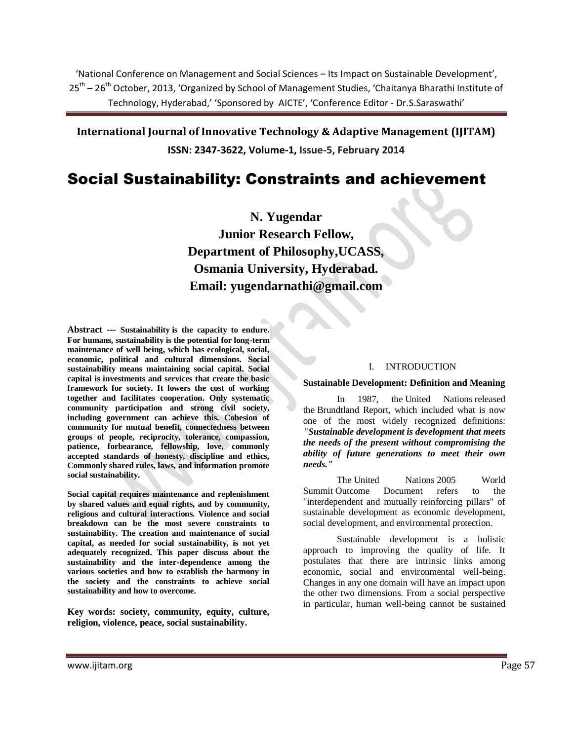'National Conference on Management and Social Sciences – Its Impact on Sustainable Development', 25<sup>th</sup> – 26<sup>th</sup> October, 2013, 'Organized by School of Management Studies, 'Chaitanya Bharathi Institute of Technology, Hyderabad,' 'Sponsored by AICTE', 'Conference Editor - Dr.S.Saraswathi'

**International Journal of Innovative Technology & Adaptive Management (IJITAM) ISSN: 2347-3622, Volume-1, Issue-5, February 2014**

# Social Sustainability: Constraints and achievement

**N. Yugendar Junior Research Fellow, Department of Philosophy,UCASS, Osmania University, Hyderabad. Email: [yugendarnathi@gmail.com](mailto:yugendarnathi@gmail.com)**

**Abstract --- Sustainability is the capacity to endure. For humans, sustainability is the potential for long-term maintenance of well being, which has ecological, social, economic, political and cultural dimensions. Social sustainability means maintaining social capital. Social capital is investments and services that create the basic framework for society. It lowers the cost of working together and facilitates cooperation. Only systematic community participation and strong civil society, including government can achieve this. Cohesion of community for mutual benefit, connectedness between groups of people, reciprocity, tolerance, compassion, patience, forbearance, fellowship, love, commonly accepted standards of honesty, discipline and ethics, Commonly shared rules, laws, and information promote social sustainability.**

**Social capital requires maintenance and replenishment by shared values and equal rights, and by community, religious and cultural interactions. Violence and social breakdown can be the most severe constraints to sustainability. The creation and maintenance of social capital, as needed for social sustainability, is not yet adequately recognized. This paper discuss about the sustainability and the inter-dependence among the various societies and how to establish the harmony in the society and the constraints to achieve social sustainability and how to overcome.** 

**Key words: society, community, equity, culture, religion, violence, peace, social sustainability.**

# I. INTRODUCTION

#### **Sustainable Development: Definition and Meaning**

In 1987, the [United Nations](http://en.wikipedia.org/wiki/United_Nations) released the [Brundtland Report,](http://en.wikipedia.org/wiki/Brundtland_Report) which included what is now one of the most widely recognized definitions: *"Sustainable development is development that meets the needs of the present without compromising the ability of future generations to meet their own needs."*

The [United Nations](http://en.wikipedia.org/wiki/United_Nations) [2005 World](http://en.wikipedia.org/wiki/2005_World_Summit)  [Summit](http://en.wikipedia.org/wiki/2005_World_Summit) Outcome Document refers to the "interdependent and mutually reinforcing pillars" of sustainable development as economic development, social development, and environmental protection.

Sustainable development is a holistic approach to improving the quality of life. It postulates that there are intrinsic links among economic, social and environmental well-being. Changes in any one domain will have an impact upon the other two dimensions. From a social perspective in particular, human well-being cannot be sustained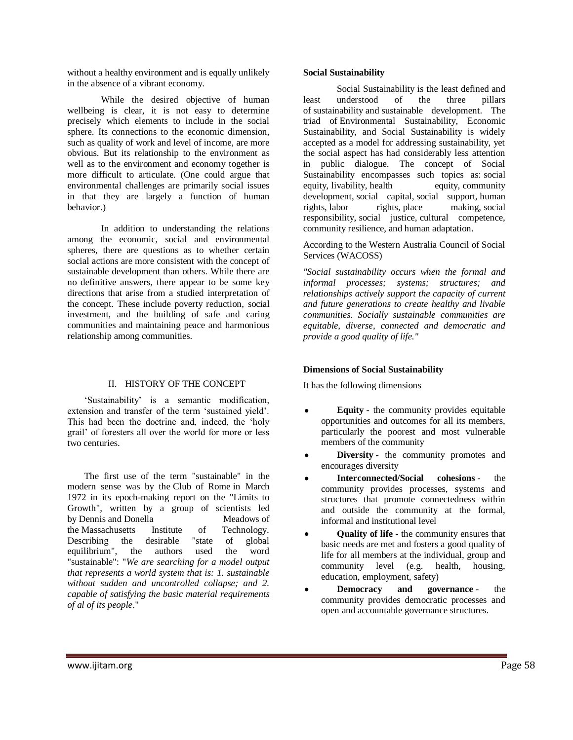without a healthy environment and is equally unlikely in the absence of a vibrant economy.

While the desired objective of human wellbeing is clear, it is not easy to determine precisely which elements to include in the social sphere. Its connections to the economic dimension, such as quality of work and level of income, are more obvious. But its relationship to the environment as well as to the environment and economy together is more difficult to articulate. (One could argue that environmental challenges are primarily social issues in that they are largely a function of human behavior.)

In addition to understanding the relations among the economic, social and environmental spheres, there are questions as to whether certain social actions are more consistent with the concept of sustainable development than others. While there are no definitive answers, there appear to be some key directions that arise from a studied interpretation of the concept. These include poverty reduction, social investment, and the building of safe and caring communities and maintaining peace and harmonious relationship among communities.

# II. HISTORY OF THE CONCEPT

"Sustainability" is a semantic modification, extension and transfer of the term "sustained yield". This had been the doctrine and, indeed, the "holy grail" of foresters all over the world for more or less two centuries.

The first use of the term "sustainable" in the modern sense was by the [Club of Rome](http://en.wikipedia.org/wiki/Club_of_Rome) in March 1972 in its epoch-making report on the "Limits to Growth", written by a group of scientists led by [Dennis](http://en.wikipedia.org/wiki/Dennis_Meadows) and [Donella Meadows](http://en.wikipedia.org/wiki/Donella_Meadows) of the [Massachusetts Institute of Technology.](http://en.wikipedia.org/wiki/Massachusetts_Institute_of_Technology) Describing the desirable "state of global equilibrium", the authors used the word "sustainable": "*We are searching for a model output that represents a world system that is: 1. sustainable without sudden and uncontrolled collapse; and 2. capable of satisfying the basic material requirements of al of its people*."

# **Social Sustainability**

Social Sustainability is the least defined and least understood of the three pillars of [sustainability](http://en.wikipedia.org/wiki/Sustainability) and [sustainable development.](http://en.wikipedia.org/wiki/Sustainable_development) The triad of [Environmental Sustainability,](http://en.wikipedia.org/wiki/Environmental_Sustainability) Economic Sustainability, and Social Sustainability is widely accepted as a model for addressing sustainability, yet the social aspect has had considerably less attention in public dialogue. The concept of Social Sustainability encompasses such topics as: [social](http://en.wikipedia.org/wiki/Social_equity)  [equity,](http://en.wikipedia.org/wiki/Social_equity) [livability,](http://en.wikipedia.org/wiki/Livability) [health equity,](http://en.wikipedia.org/wiki/Health_equity) community [development,](http://en.wikipedia.org/wiki/Community_development) [social capital,](http://en.wikipedia.org/wiki/Social_capital) [social support,](http://en.wikipedia.org/wiki/Social_support) [human](http://en.wikipedia.org/wiki/Human_rights)  [rights,](http://en.wikipedia.org/wiki/Human_rights) [labor rights,](http://en.wikipedia.org/wiki/Labor_rights) place [making,](http://en.wikipedia.org/wiki/Placemaking) [social](http://en.wikipedia.org/wiki/Social_responsibility)  [responsibility,](http://en.wikipedia.org/wiki/Social_responsibility) [social justice,](http://en.wikipedia.org/wiki/Social_justice) [cultural competence,](http://en.wikipedia.org/wiki/Cultural_competence) community resilience, and human adaptation.

According to the Western Australia Council of Social Services (WACOSS)

*"Social sustainability occurs when the formal and informal processes; systems; structures; and relationships actively support the capacity of current and future generations to create healthy and livable communities. Socially sustainable communities are equitable, diverse, connected and democratic and provide a good quality of life."*

# **Dimensions of Social Sustainability**

It has the following dimensions

- **Equity** the community provides equitable opportunities and outcomes for all its members, particularly the poorest and most vulnerable members of the community
- **Diversity** the community promotes and encourages diversity
- **Interconnected/Social cohesions** the community provides processes, systems and structures that promote connectedness within and outside the community at the formal, informal and institutional level
- **Quality of life** the community ensures that basic needs are met and fosters a good quality of life for all members at the individual, group and community level (e.g. health, housing, education, employment, safety)
- **Democracy** and **governance** the community provides democratic processes and open and accountable governance structures.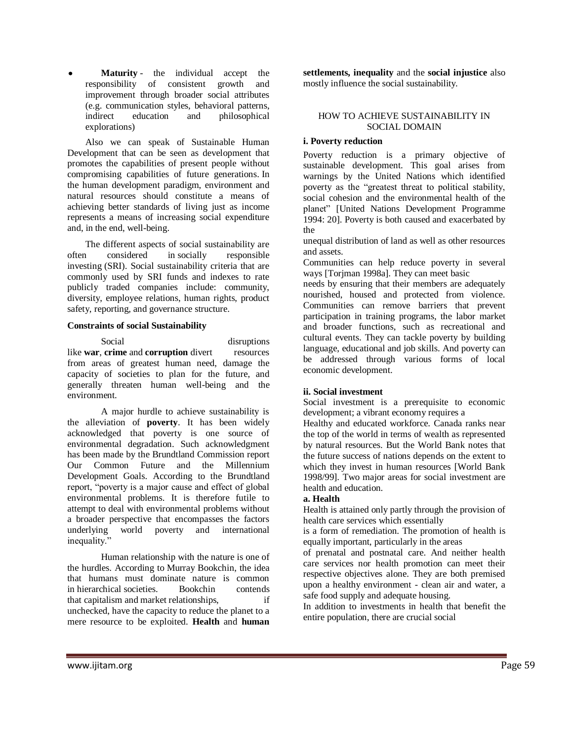**Maturity** - the individual accept the responsibility of consistent growth and improvement through broader social attributes (e.g. communication styles, behavioral patterns, indirect education and philosophical explorations)

Also we can speak of Sustainable Human Development that can be seen as development that promotes the capabilities of present people without compromising capabilities of future generations. In the human development paradigm, environment and natural resources should constitute a means of achieving better standards of living just as income represents a means of increasing social expenditure and, in the end, well-being.

The different aspects of social sustainability are often considered in [socially responsible](http://en.wikipedia.org/wiki/Socially_responsible_investing)  [investing](http://en.wikipedia.org/wiki/Socially_responsible_investing) (SRI). Social sustainability criteria that are commonly used by SRI funds and indexes to rate publicly traded companies include: community, diversity, employee relations, human rights, product safety, reporting, and governance structure.

#### **Constraints of social Sustainability**

Social disruptions like **[war](http://en.wikipedia.org/wiki/War)**, **[crime](http://en.wikipedia.org/wiki/Crime)** and **[corruption](http://en.wikipedia.org/wiki/Political_corruption)** divert resources from areas of greatest human need, damage the capacity of societies to plan for the future, and generally threaten human well-being and the environment.

A major hurdle to achieve sustainability is the alleviation of **poverty**. It has been widely acknowledged that poverty is one source of environmental degradation. Such acknowledgment has been made by the [Brundtland Commission report](http://en.wikipedia.org/wiki/Brundtland_Report)  [Our Common Future](http://en.wikipedia.org/wiki/Brundtland_Report) and the Millennium Development Goals. According to the Brundtland report, "poverty is a major cause and effect of global environmental problems. It is therefore futile to attempt to deal with environmental problems without a broader perspective that encompasses the factors underlying world poverty and international inequality."

Human relationship with the nature is one of the hurdles. According to [Murray Bookchin,](http://en.wikipedia.org/wiki/Murray_Bookchin) the idea that humans must dominate nature is common in [hierarchical](http://en.wikipedia.org/wiki/Social_hierarchy) societies. Bookchin contends that [capitalism](http://en.wikipedia.org/wiki/Capitalism) and [market](http://en.wikipedia.org/wiki/Market) relationships, if unchecked, have the capacity to reduce the planet to a mere resource to be exploited. **Health** and **human** 

**settlements, inequality** and the **social injustice** also mostly influence the social sustainability.

#### HOW TO ACHIEVE SUSTAINABILITY IN SOCIAL DOMAIN

# **i. Poverty reduction**

Poverty reduction is a primary objective of sustainable development. This goal arises from warnings by the United Nations which identified poverty as the "greatest threat to political stability, social cohesion and the environmental health of the planet" [United Nations Development Programme 1994: 20]. Poverty is both caused and exacerbated by the

unequal distribution of land as well as other resources and assets.

Communities can help reduce poverty in several ways [Torjman 1998a]. They can meet basic

needs by ensuring that their members are adequately nourished, housed and protected from violence. Communities can remove barriers that prevent participation in training programs, the labor market and broader functions, such as recreational and cultural events. They can tackle poverty by building language, educational and job skills. And poverty can be addressed through various forms of local economic development.

# **ii. Social investment**

Social investment is a prerequisite to economic development; a vibrant economy requires a

Healthy and educated workforce. Canada ranks near the top of the world in terms of wealth as represented by natural resources. But the World Bank notes that the future success of nations depends on the extent to which they invest in human resources [World Bank 1998/99]. Two major areas for social investment are health and education.

# **a. Health**

Health is attained only partly through the provision of health care services which essentially

is a form of remediation. The promotion of health is equally important, particularly in the areas

of prenatal and postnatal care. And neither health care services nor health promotion can meet their respective objectives alone. They are both premised upon a healthy environment - clean air and water, a safe food supply and adequate housing.

In addition to investments in health that benefit the entire population, there are crucial social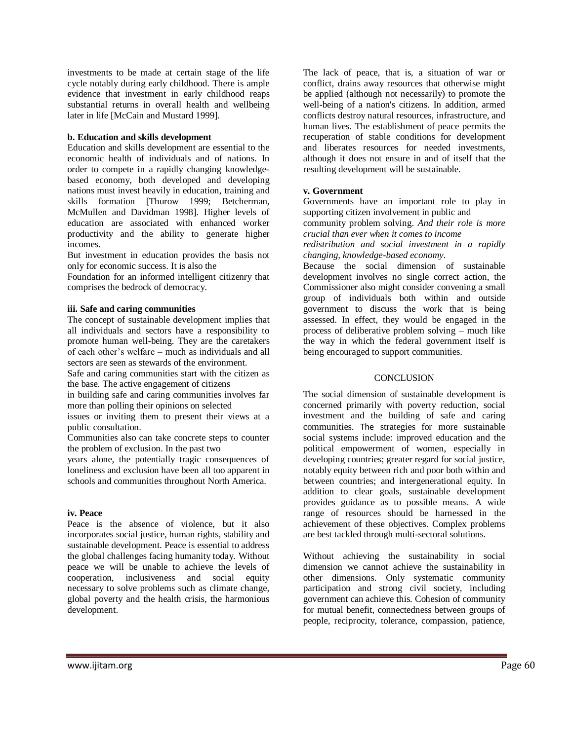investments to be made at certain stage of the life cycle notably during early childhood. There is ample evidence that investment in early childhood reaps substantial returns in overall health and wellbeing later in life [McCain and Mustard 1999].

#### **b. Education and skills development**

Education and skills development are essential to the economic health of individuals and of nations. In order to compete in a rapidly changing knowledgebased economy, both developed and developing nations must invest heavily in education, training and skills formation [Thurow 1999; Betcherman, McMullen and Davidman 1998]. Higher levels of education are associated with enhanced worker productivity and the ability to generate higher incomes.

But investment in education provides the basis not only for economic success. It is also the

Foundation for an informed intelligent citizenry that comprises the bedrock of democracy.

#### **iii. Safe and caring communities**

The concept of sustainable development implies that all individuals and sectors have a responsibility to promote human well-being. They are the caretakers of each other"s welfare – much as individuals and all sectors are seen as stewards of the environment.

Safe and caring communities start with the citizen as the base. The active engagement of citizens

in building safe and caring communities involves far more than polling their opinions on selected

issues or inviting them to present their views at a public consultation.

Communities also can take concrete steps to counter the problem of exclusion. In the past two

years alone, the potentially tragic consequences of loneliness and exclusion have been all too apparent in schools and communities throughout North America.

#### **iv. Peace**

Peace is the absence of violence, but it also incorporates social justice, human rights, stability and sustainable development. Peace is essential to address the global challenges facing humanity today. Without peace we will be unable to achieve the levels of cooperation, inclusiveness and social equity necessary to solve problems such as climate change, global poverty and the health crisis, the harmonious development.

The lack of peace, that is, a situation of war or conflict, drains away resources that otherwise might be applied (although not necessarily) to promote the well-being of a nation's citizens. In addition, armed conflicts destroy natural resources, infrastructure, and human lives. The establishment of peace permits the recuperation of stable conditions for development and liberates resources for needed investments, although it does not ensure in and of itself that the resulting development will be sustainable.

#### **v. Government**

Governments have an important role to play in supporting citizen involvement in public and

community problem solving. *And their role is more crucial than ever when it comes to income*

*redistribution and social investment in a rapidly changing, knowledge-based economy*.

Because the social dimension of sustainable development involves no single correct action, the Commissioner also might consider convening a small group of individuals both within and outside government to discuss the work that is being assessed. In effect, they would be engaged in the process of deliberative problem solving – much like the way in which the federal government itself is being encouraged to support communities.

# **CONCLUSION**

The social dimension of sustainable development is concerned primarily with poverty reduction, social investment and the building of safe and caring communities. The strategies for more sustainable social systems include: improved education and the political empowerment of women, especially in developing countries; greater regard for social justice, notably equity between rich and poor both within and between countries; and intergenerational equity. In addition to clear goals, sustainable development provides guidance as to possible means. A wide range of resources should be harnessed in the achievement of these objectives. Complex problems are best tackled through multi-sectoral solutions.

Without achieving the sustainability in social dimension we cannot achieve the sustainability in other dimensions. Only systematic community participation and strong civil society, including government can achieve this. Cohesion of community for mutual benefit, connectedness between groups of people, reciprocity, tolerance, compassion, patience,